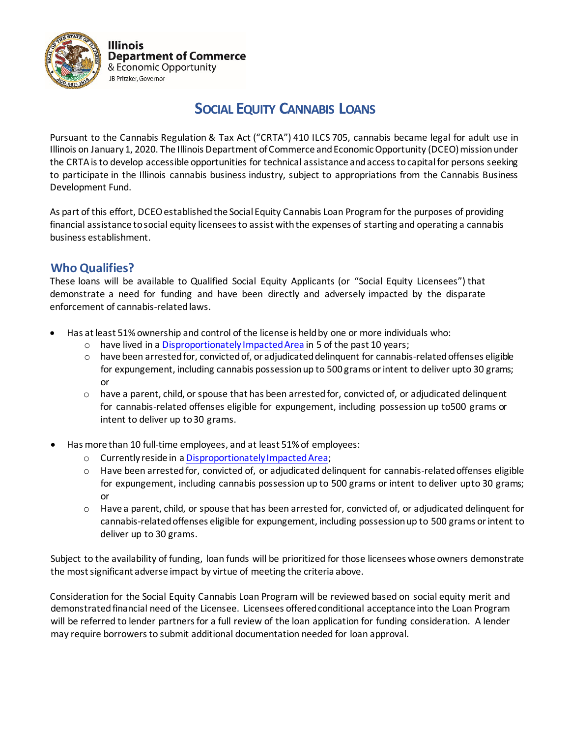

**Illinois Department of Commerce** & Economic Opportunity

# **SOCIAL EQUITY CANNABIS LOANS**

Pursuant to the Cannabis Regulation & Tax Act ("CRTA") 410 ILCS 705, cannabis became legal for adult use in Illinois on January 1, 2020. The Illinois Department of Commerce and Economic Opportunity (DCEO) mission under the CRTA is to develop accessible opportunities for technical assistance and access to capital for persons seeking to participate in the Illinois cannabis business industry, subject to appropriations from the Cannabis Business Development Fund.

As part of this effort, DCEO established the Social Equity Cannabis Loan Program for the purposes of providing financial assistance to social equity licensees to assist with the expenses of starting and operating a cannabis business establishment.

## **Who Qualifies?**

These loans will be available to Qualified Social Equity Applicants (or "Social Equity Licensees") that demonstrate a need for funding and have been directly and adversely impacted by the disparate enforcement of cannabis-related laws.

- Has at least 51% ownership and control of the license is held by one or more individuals who:
	- o have lived in a [Disproportionately Impacted Area](https://www2.illinois.gov/dceo/CannabisEquity/Pages/DisproportionateImpactedAreaMap.aspx) in 5 of the past 10 years;
	- $\circ$  have been arrested for, convicted of, or adjudicated delinquent for cannabis-related offenses eligible for expungement, including cannabis possession up to 500 grams or intent to deliver upto 30 grams; or
	- $\circ$  have a parent, child, or spouse that has been arrested for, convicted of, or adjudicated delinquent for cannabis-related offenses eligible for expungement, including possession up to500 grams or intent to deliver up to30 grams.
- Has more than 10 full-time employees, and at least 51%of employees:
	- o Currently reside in a [Disproportionately](https://www2.illinois.gov/dceo/CannabisEquity/Pages/DisproportionateImpactedAreaMap.aspx) ImpactedArea;
	- $\circ$  Have been arrested for, convicted of, or adjudicated delinquent for cannabis-related offenses eligible for expungement, including cannabis possession up to 500 grams or intent to deliver upto 30 grams; or
	- $\circ$  Have a parent, child, or spouse that has been arrested for, convicted of, or adjudicated delinquent for cannabis-related offenses eligible for expungement, including possession up to 500 grams or intent to deliver up to 30 grams.

Subject to the availability of funding, loan funds will be prioritized for those licensees whose owners demonstrate the most significant adverse impact by virtue of meeting the criteria above.

Consideration for the Social Equity Cannabis Loan Program will be reviewed based on social equity merit and demonstrated financial need of the Licensee. Licensees offered conditional acceptance into the Loan Program will be referred to lender partners for a full review of the loan application for funding consideration. A lender may require borrowers to submit additional documentation needed for loan approval.